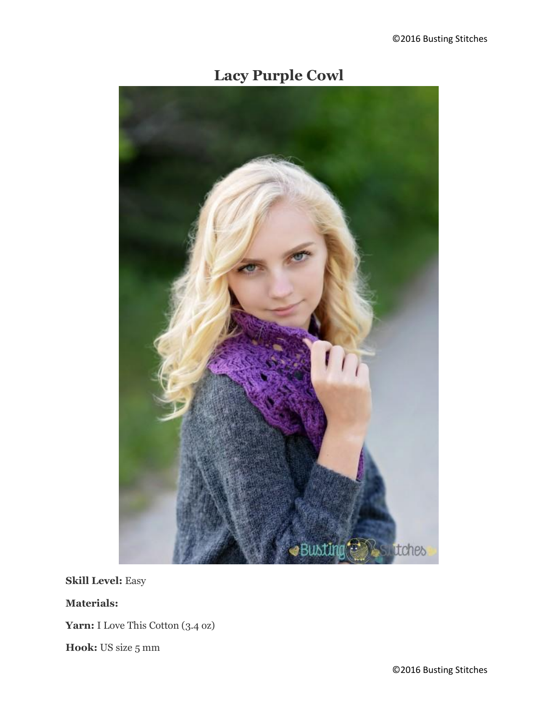## **Lacy Purple Cowl**



**Skill Level:** Easy

**Materials:**

Yarn: I Love This Cotton (3.4 oz)

**Hook:** US size 5 mm